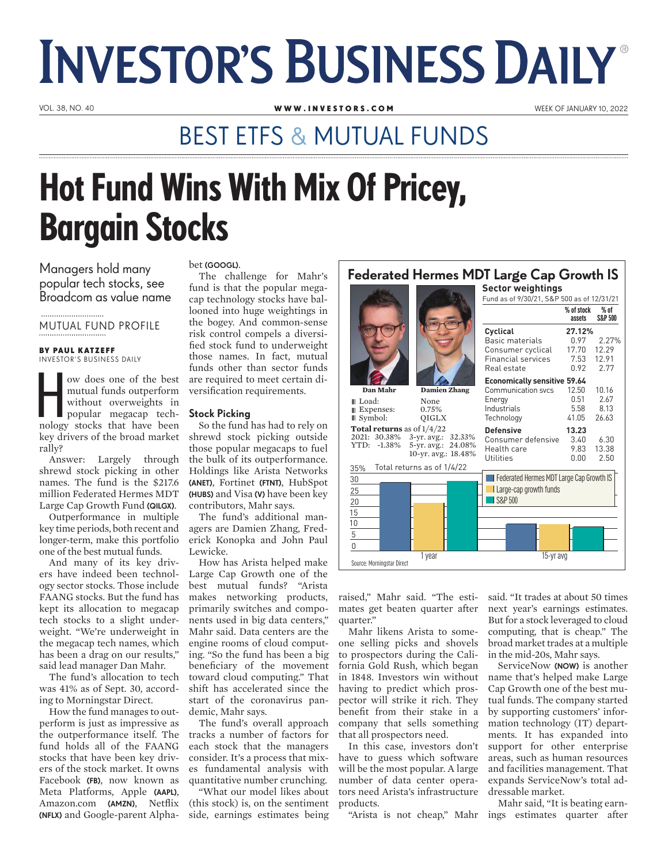# **INVESTOR'S BUSINESS DAILY®**

VOL. 38, NO. 40 WEEK OF JANUARY 10, 2022<br> **WWW.INVESTORS.COM** WEEK OF JANUARY 10, 2022

### BEST ETFS & MUTUAL FUNDS

## Hot Fund Wins With Mix Of Pricey, Bargain Stocks

Managers hold many popular tech stocks, see Broadcom as value name

MUTUAL FUND PROFILE

#### BY PAUL KATZEFF INVESTOR'S BUSINESS DAILY

which is a counter china.<br>
without discussive the best<br>
without overweights in<br>
popular megacap tech-<br>
nology stocks that have been ow does one of the best mutual funds outperform without overweights in popular megacap techkey drivers of the broad market rally?

Answer: Largely through shrewd stock picking in other names. The fund is the \$217.6 million Federated Hermes MDT Large Cap Growth Fund (QILGX).

Outperformance in multiple key time periods, both recent and longer-term, make this portfolio one of the best mutual funds.

And many of its key drivers have indeed been technology sector stocks. Those include FAANG stocks. But the fund has kept its allocation to megacap tech stocks to a slight underweight. "We're underweight in the megacap tech names, which has been a drag on our results," said lead manager Dan Mahr.

The fund's allocation to tech was 41% as of Sept. 30, according to Morningstar Direct.

How the fund manages to outperform is just as impressive as the outperformance itself. The fund holds all of the FAANG stocks that have been key drivers of the stock market. It owns Facebook (FB), now known as Meta Platforms, Apple (AAPL), Amazon.com (AMZN), Netflix (NFLX) and Google-parent Alpha-

#### bet (GOOGL).

The challenge for Mahr's fund is that the popular megacap technology stocks have ballooned into huge weightings in the bogey. And common-sense risk control compels a diversified stock fund to underweight those names. In fact, mutual funds other than sector funds are required to meet certain diversification requirements.

#### Stock Picking

So the fund has had to rely on shrewd stock picking outside those popular megacaps to fuel the bulk of its outperformance. Holdings like Arista Networks (ANET), Fortinet (FTNT), HubSpot (HUBS) and Visa (V) have been key contributors, Mahr says.

The fund's additional managers are Damien Zhang, Frederick Konopka and John Paul Lewicke.

How has Arista helped make Large Cap Growth one of the best mutual funds? "Arista makes networking products, primarily switches and components used in big data centers," Mahr said. Data centers are the engine rooms of cloud computing. "So the fund has been a big beneficiary of the movement toward cloud computing." That shift has accelerated since the start of the coronavirus pandemic, Mahr says.

The fund's overall approach tracks a number of factors for each stock that the managers consider. It's a process that mixes fundamental analysis with quantitative number crunching.

"What our model likes about (this stock) is, on the sentiment side, earnings estimates being

| <b>Federated Hermes MDT Large Cap Growth IS</b> |  |                   |  |  |
|-------------------------------------------------|--|-------------------|--|--|
|                                                 |  | Sector weightings |  |  |

|                                     |                                           | Fund as of 9/30/21, S&P 500 as of 12/31/21 |                      |                              |  |  |
|-------------------------------------|-------------------------------------------|--------------------------------------------|----------------------|------------------------------|--|--|
|                                     |                                           |                                            | % of stock<br>assets | $%$ of<br><b>S&amp;P 500</b> |  |  |
|                                     |                                           | Cyclical                                   | 27.12%               |                              |  |  |
|                                     |                                           | <b>Basic materials</b>                     | 0.97                 | 2.27%                        |  |  |
|                                     |                                           | Consumer cyclical                          | 17.70                | 12.29                        |  |  |
|                                     |                                           | <b>Financial services</b>                  | 7.53                 | 12.91                        |  |  |
|                                     |                                           | Real estate                                | 0.92                 | 2.77                         |  |  |
|                                     |                                           | <b>Economically sensitive 59.64</b>        |                      |                              |  |  |
| Dan Mahr                            | <b>Damien Zhang</b>                       | Communication sycs                         | 12.50                | 10.16                        |  |  |
| III Load:                           | None                                      | Energy                                     | 0.51                 | 2.67                         |  |  |
| <b>Expenses:</b>                    | 0.75%                                     | Industrials                                | 5.58                 | 8.13                         |  |  |
| $\mathbb{I}$ Symbol:                | QIGLX                                     | Technology                                 | 41.05                | 26.63                        |  |  |
| <b>Total returns</b> as of $1/4/22$ |                                           | <b>Defensive</b>                           | 13.23                |                              |  |  |
| 2021: 30.38%                        | 3-yr. avg.: 32.33%                        | Consumer defensive                         | 3.40                 | 6.30                         |  |  |
| YTD:<br>$-1.38\%$                   | 5-yr. avg.: 24.08%<br>10-yr. avg.: 18.48% | Health care                                | 9.83                 | 13.38                        |  |  |
|                                     |                                           | Utilities                                  | 0.00                 | 2.50                         |  |  |
| 35%                                 | Total returns as of 1/4/22                |                                            |                      |                              |  |  |
| 30                                  |                                           | Federated Hermes MDT Large Cap Growth IS   |                      |                              |  |  |
| 25                                  |                                           | Large-cap growth funds                     |                      |                              |  |  |
| 20                                  |                                           | S&P 500                                    |                      |                              |  |  |
|                                     |                                           |                                            |                      |                              |  |  |
| $\frac{15}{10}$ $\frac{1}{5}$       |                                           |                                            |                      |                              |  |  |
|                                     |                                           |                                            |                      |                              |  |  |
|                                     |                                           |                                            |                      |                              |  |  |
| 0                                   |                                           |                                            |                      |                              |  |  |
| Source: Morningstar Direct          | 1 year                                    | 15-yr avg                                  |                      |                              |  |  |

raised," Mahr said. "The estimates get beaten quarter after quarter."

Mahr likens Arista to someone selling picks and shovels to prospectors during the California Gold Rush, which began in 1848. Investors win without having to predict which prospector will strike it rich. They benefit from their stake in a company that sells something that all prospectors need.

In this case, investors don't have to guess which software will be the most popular. A large number of data center operators need Arista's infrastructure products.

"Arista is not cheap," Mahr

said. "It trades at about 50 times next year's earnings estimates. But for a stock leveraged to cloud computing, that is cheap." The broad market trades at a multiple in the mid-20s, Mahr says.

ServiceNow (NOW) is another name that's helped make Large Cap Growth one of the best mutual funds. The company started by supporting customers' information technology (IT) departments. It has expanded into support for other enterprise areas, such as human resources and facilities management. That expands ServiceNow's total addressable market.

Mahr said, "It is beating earnings estimates quarter after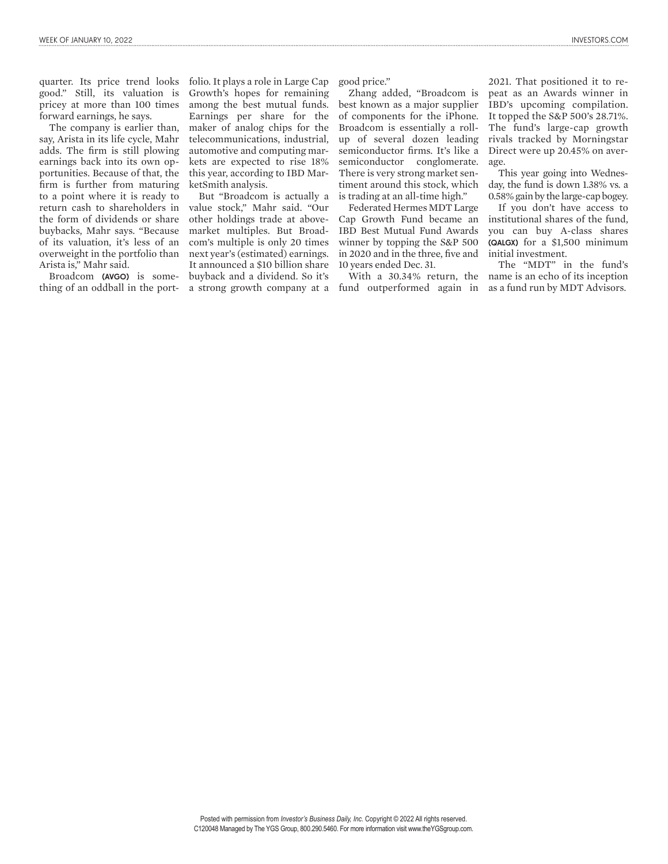good." Still, its valuation is pricey at more than 100 times forward earnings, he says.

The company is earlier than, say, Arista in its life cycle, Mahr adds. The firm is still plowing earnings back into its own opportunities. Because of that, the firm is further from maturing to a point where it is ready to return cash to shareholders in the form of dividends or share buybacks, Mahr says. "Because of its valuation, it's less of an overweight in the portfolio than Arista is," Mahr said.

Broadcom (AVGO) is something of an oddball in the port-

quarter. Its price trend looks folio. It plays a role in Large Cap Growth's hopes for remaining among the best mutual funds. Earnings per share for the maker of analog chips for the telecommunications, industrial, automotive and computing markets are expected to rise 18% this year, according to IBD MarketSmith analysis.

> But "Broadcom is actually a value stock," Mahr said. "Our other holdings trade at abovemarket multiples. But Broadcom's multiple is only 20 times next year's (estimated) earnings. It announced a \$10 billion share buyback and a dividend. So it's a strong growth company at a fund outperformed again in

good price."

Zhang added, "Broadcom is best known as a major supplier of components for the iPhone. Broadcom is essentially a rollup of several dozen leading semiconductor firms. It's like a semiconductor conglomerate. There is very strong market sentiment around this stock, which is trading at an all-time high."

Federated Hermes MDT Large Cap Growth Fund became an IBD Best Mutual Fund Awards winner by topping the S&P 500 in 2020 and in the three, five and 10 years ended Dec. 31.

With a 30.34% return, the

2021. That positioned it to repeat as an Awards winner in IBD's upcoming compilation. It topped the S&P 500's 28.71%. The fund's large-cap growth rivals tracked by Morningstar Direct were up 20.45% on average.

This year going into Wednesday, the fund is down 1.38% vs. a 0.58% gain by the large-cap bogey.

If you don't have access to institutional shares of the fund, you can buy A-class shares (QALGX) for a \$1,500 minimum initial investment.

The "MDT" in the fund's name is an echo of its inception as a fund run by MDT Advisors.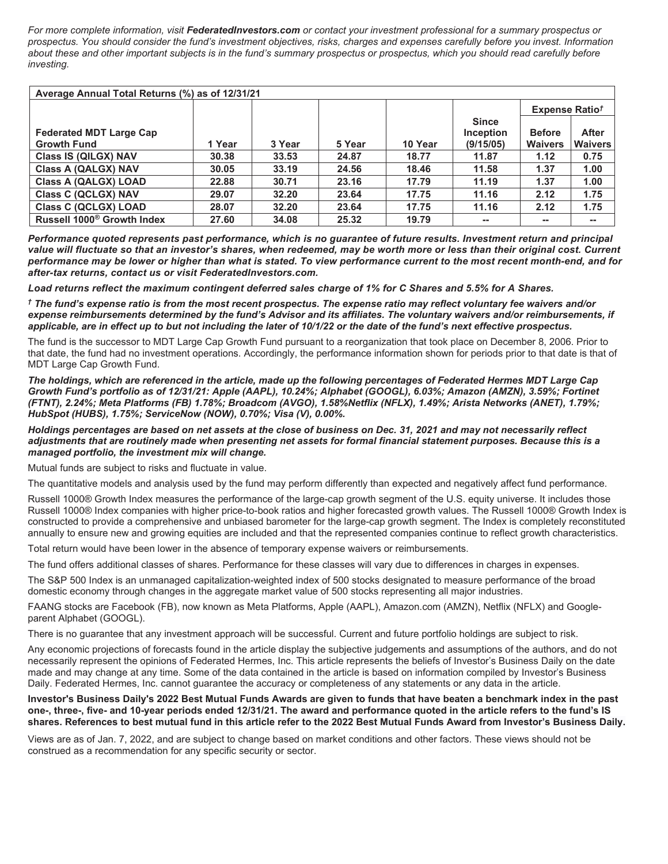*For more complete information, visit [FederatedInvestors.com](https://www.FederatedInvestors.com) or contact your investment professional for a summary prospectus or prospectus. You should consider the fund's investment objectives, risks, charges and expenses carefully before you invest. Information about these and other important subjects is in the fund's summary prospectus or prospectus, which you should read carefully before investing.*

| Average Annual Total Returns (%) as of 12/31/21 |        |        |        |         |                           |                            |                |  |
|-------------------------------------------------|--------|--------|--------|---------|---------------------------|----------------------------|----------------|--|
|                                                 |        |        |        |         |                           | Expense Ratio <sup>†</sup> |                |  |
| <b>Federated MDT Large Cap</b>                  |        |        |        |         | <b>Since</b><br>Inception | <b>Before</b>              | <b>After</b>   |  |
| <b>Growth Fund</b>                              | 1 Year | 3 Year | 5 Year | 10 Year | (9/15/05)                 | <b>Waivers</b>             | <b>Waivers</b> |  |
| Class IS (QILGX) NAV                            | 30.38  | 33.53  | 24.87  | 18.77   | 11.87                     | 1.12                       | 0.75           |  |
| <b>Class A (QALGX) NAV</b>                      | 30.05  | 33.19  | 24.56  | 18.46   | 11.58                     | 1.37                       | 1.00           |  |
| <b>Class A (QALGX) LOAD</b>                     | 22.88  | 30.71  | 23.16  | 17.79   | 11.19                     | 1.37                       | 1.00           |  |
| <b>Class C (QCLGX) NAV</b>                      | 29.07  | 32.20  | 23.64  | 17.75   | 11.16                     | 2.12                       | 1.75           |  |
| <b>Class C (QCLGX) LOAD</b>                     | 28.07  | 32.20  | 23.64  | 17.75   | 11.16                     | 2.12                       | 1.75           |  |
| Russell 1000 <sup>®</sup> Growth Index          | 27.60  | 34.08  | 25.32  | 19.79   | --                        | $\overline{\phantom{m}}$   | $- -$          |  |

*Performance quoted represents past performance, which is no guarantee of future results. Investment return and principal value will fluctuate so that an investor's shares, when redeemed, may be worth more or less than their original cost. Current performance may be lower or higher than what is stated. To view performance current to the most recent month-end, and for after-tax returns, contact us or visit [FederatedInvestors.com](https://www.FederatedInvestors.com).*

*Load returns reflect the maximum contingent deferred sales charge of 1% for C Shares and 5.5% for A Shares.* 

*† The fund's expense ratio is from the most recent prospectus. The expense ratio may reflect voluntary fee waivers and/or expense reimbursements determined by the fund's Advisor and its affiliates. The voluntary waivers and/or reimbursements, if applicable, are in effect up to but not including the later of 10/1/22 or the date of the fund's next effective prospectus.*

The fund is the successor to MDT Large Cap Growth Fund pursuant to a reorganization that took place on December 8, 2006. Prior to that date, the fund had no investment operations. Accordingly, the performance information shown for periods prior to that date is that of MDT Large Cap Growth Fund.

*The holdings, which are referenced in the article, made up the following percentages of Federated Hermes MDT Large Cap Growth Fund's portfolio as of 12/31/21: Apple (AAPL), 10.24%; Alphabet (GOOGL), 6.03%; Amazon (AMZN), 3.59%; Fortinet (FTNT), 2.24%; Meta Platforms (FB) 1.78%; Broadcom (AVGO), 1.58%Netflix (NFLX), 1.49%; Arista Networks (ANET), 1.79%; HubSpot (HUBS), 1.75%; ServiceNow (NOW), 0.70%; Visa (V), 0.00%.*

*Holdings percentages are based on net assets at the close of business on Dec. 31, 2021 and may not necessarily reflect adjustments that are routinely made when presenting net assets for formal financial statement purposes. Because this is a managed portfolio, the investment mix will change.*

Mutual funds are subject to risks and fluctuate in value.

The quantitative models and analysis used by the fund may perform differently than expected and negatively affect fund performance.

Russell 1000® Growth Index measures the performance of the large-cap growth segment of the U.S. equity universe. It includes those Russell 1000® Index companies with higher price-to-book ratios and higher forecasted growth values. The Russell 1000® Growth Index is constructed to provide a comprehensive and unbiased barometer for the large-cap growth segment. The Index is completely reconstituted annually to ensure new and growing equities are included and that the represented companies continue to reflect growth characteristics.

Total return would have been lower in the absence of temporary expense waivers or reimbursements.

The fund offers additional classes of shares. Performance for these classes will vary due to differences in charges in expenses.

The S&P 500 Index is an unmanaged capitalization-weighted index of 500 stocks designated to measure performance of the broad domestic economy through changes in the aggregate market value of 500 stocks representing all major industries.

FAANG stocks are Facebook (FB), now known as Meta Platforms, Apple (AAPL), Amazon.com (AMZN), Netflix (NFLX) and Googleparent Alphabet (GOOGL).

There is no guarantee that any investment approach will be successful. Current and future portfolio holdings are subject to risk.

Any economic projections of forecasts found in the article display the subjective judgements and assumptions of the authors, and do not necessarily represent the opinions of Federated Hermes, Inc. This article represents the beliefs of Investor's Business Daily on the date made and may change at any time. Some of the data contained in the article is based on information compiled by Investor's Business Daily. Federated Hermes, Inc. cannot guarantee the accuracy or completeness of any statements or any data in the article.

**Investor's Business Daily's 2022 Best Mutual Funds Awards are given to funds that have beaten a benchmark index in the past one-, three-, five- and 10-year periods ended 12/31/21. The award and performance quoted in the article refers to the fund's IS shares. References to best mutual fund in this article refer to the 2022 Best Mutual Funds Award from Investor's Business Daily.**

Views are as of Jan. 7, 2022, and are subject to change based on market conditions and other factors. These views should not be construed as a recommendation for any specific security or sector.